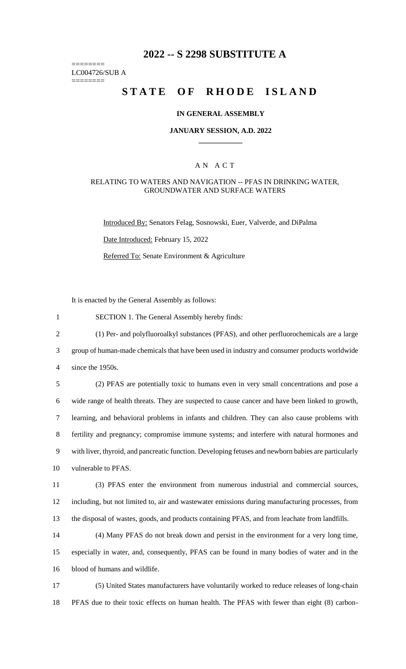# **2022 -- S 2298 SUBSTITUTE A**

======== LC004726/SUB A

========

# **STATE OF RHODE ISLAND**

### **IN GENERAL ASSEMBLY**

### **JANUARY SESSION, A.D. 2022 \_\_\_\_\_\_\_\_\_\_\_\_**

### A N A C T

### RELATING TO WATERS AND NAVIGATION -- PFAS IN DRINKING WATER, GROUNDWATER AND SURFACE WATERS

Introduced By: Senators Felag, Sosnowski, Euer, Valverde, and DiPalma

Date Introduced: February 15, 2022

Referred To: Senate Environment & Agriculture

It is enacted by the General Assembly as follows:

1 SECTION 1. The General Assembly hereby finds:

2 (1) Per- and polyfluoroalkyl substances (PFAS), and other perfluorochemicals are a large

3 group of human-made chemicals that have been used in industry and consumer products worldwide

4 since the 1950s.

 (2) PFAS are potentially toxic to humans even in very small concentrations and pose a wide range of health threats. They are suspected to cause cancer and have been linked to growth, learning, and behavioral problems in infants and children. They can also cause problems with fertility and pregnancy; compromise immune systems; and interfere with natural hormones and with liver, thyroid, and pancreatic function. Developing fetuses and newborn babies are particularly vulnerable to PFAS.

11 (3) PFAS enter the environment from numerous industrial and commercial sources, 12 including, but not limited to, air and wastewater emissions during manufacturing processes, from 13 the disposal of wastes, goods, and products containing PFAS, and from leachate from landfills.

14 (4) Many PFAS do not break down and persist in the environment for a very long time, 15 especially in water, and, consequently, PFAS can be found in many bodies of water and in the 16 blood of humans and wildlife.

17 (5) United States manufacturers have voluntarily worked to reduce releases of long-chain 18 PFAS due to their toxic effects on human health. The PFAS with fewer than eight (8) carbon-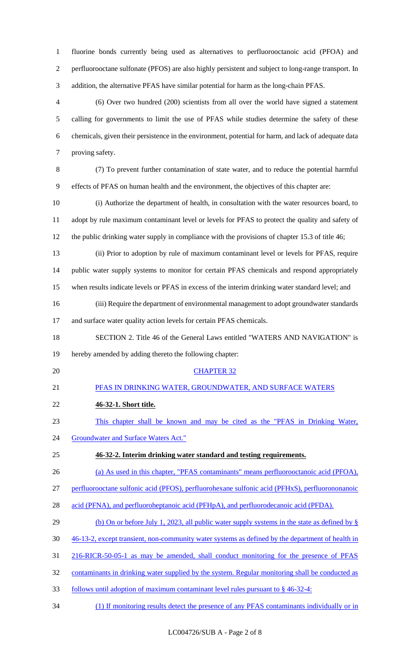fluorine bonds currently being used as alternatives to perfluorooctanoic acid (PFOA) and perfluorooctane sulfonate (PFOS) are also highly persistent and subject to long-range transport. In addition, the alternative PFAS have similar potential for harm as the long-chain PFAS.

 (6) Over two hundred (200) scientists from all over the world have signed a statement calling for governments to limit the use of PFAS while studies determine the safety of these chemicals, given their persistence in the environment, potential for harm, and lack of adequate data proving safety.

 (7) To prevent further contamination of state water, and to reduce the potential harmful effects of PFAS on human health and the environment, the objectives of this chapter are:

 (i) Authorize the department of health, in consultation with the water resources board, to adopt by rule maximum contaminant level or levels for PFAS to protect the quality and safety of the public drinking water supply in compliance with the provisions of chapter 15.3 of title 46;

- (ii) Prior to adoption by rule of maximum contaminant level or levels for PFAS, require public water supply systems to monitor for certain PFAS chemicals and respond appropriately when results indicate levels or PFAS in excess of the interim drinking water standard level; and
- (iii) Require the department of environmental management to adopt groundwater standards 17 and surface water quality action levels for certain PFAS chemicals.
- SECTION 2. Title 46 of the General Laws entitled "WATERS AND NAVIGATION" is hereby amended by adding thereto the following chapter:
- 

## CHAPTER 32

- PFAS IN DRINKING WATER, GROUNDWATER, AND SURFACE WATERS
- **46-32-1. Short title.**
- This chapter shall be known and may be cited as the "PFAS in Drinking Water,
- 24 Groundwater and Surface Waters Act."

### **46-32-2. Interim drinking water standard and testing requirements.**

(a) As used in this chapter, "PFAS contaminants" means perfluorooctanoic acid (PFOA),

perfluorooctane sulfonic acid (PFOS), perfluorohexane sulfonic acid (PFHxS), perfluorononanoic

- 28 acid (PFNA), and perfluoroheptanoic acid (PFHpA), and perfluorodecanoic acid (PFDA).
- 29 (b) On or before July 1, 2023, all public water supply systems in the state as defined by §
- 46-13-2, except transient, non-community water systems as defined by the department of health in
- 216-RICR-50-05-1 as may be amended, shall conduct monitoring for the presence of PFAS
- contaminants in drinking water supplied by the system. Regular monitoring shall be conducted as
- follows until adoption of maximum contaminant level rules pursuant to § 46-32-4:
- (1) If monitoring results detect the presence of any PFAS contaminants individually or in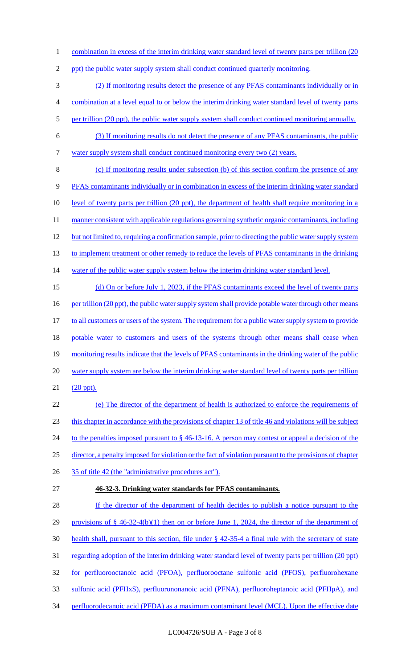1 combination in excess of the interim drinking water standard level of twenty parts per trillion (20

2 ppt) the public water supply system shall conduct continued quarterly monitoring.

3 (2) If monitoring results detect the presence of any PFAS contaminants individually or in

- 4 combination at a level equal to or below the interim drinking water standard level of twenty parts
- 5 per trillion (20 ppt), the public water supply system shall conduct continued monitoring annually.
- 6 (3) If monitoring results do not detect the presence of any PFAS contaminants, the public 7 water supply system shall conduct continued monitoring every two (2) years.
- 8 (c) If monitoring results under subsection (b) of this section confirm the presence of any 9 PFAS contaminants individually or in combination in excess of the interim drinking water standard 10 level of twenty parts per trillion (20 ppt), the department of health shall require monitoring in a 11 manner consistent with applicable regulations governing synthetic organic contaminants, including 12 but not limited to, requiring a confirmation sample, prior to directing the public water supply system 13 to implement treatment or other remedy to reduce the levels of PFAS contaminants in the drinking 14 water of the public water supply system below the interim drinking water standard level. 15 (d) On or before July 1, 2023, if the PFAS contaminants exceed the level of twenty parts
- 16 per trillion (20 ppt), the public water supply system shall provide potable water through other means 17 to all customers or users of the system. The requirement for a public water supply system to provide 18 potable water to customers and users of the systems through other means shall cease when 19 monitoring results indicate that the levels of PFAS contaminants in the drinking water of the public 20 water supply system are below the interim drinking water standard level of twenty parts per trillion 21 (20 ppt).
- 22 (e) The director of the department of health is authorized to enforce the requirements of 23 this chapter in accordance with the provisions of chapter 13 of title 46 and violations will be subject 24 to the penalties imposed pursuant to § 46-13-16. A person may contest or appeal a decision of the 25 director, a penalty imposed for violation or the fact of violation pursuant to the provisions of chapter 26 35 of title 42 (the "administrative procedures act").
- 

# 27 **46-32-3. Drinking water standards for PFAS contaminants.**

28 If the director of the department of health decides to publish a notice pursuant to the 29 provisions of § 46-32-4(b)(1) then on or before June 1, 2024, the director of the department of 30 health shall, pursuant to this section, file under § 42-35-4 a final rule with the secretary of state 31 regarding adoption of the interim drinking water standard level of twenty parts per trillion (20 ppt) 32 for perfluorooctanoic acid (PFOA), perfluorooctane sulfonic acid (PFOS), perfluorohexane 33 sulfonic acid (PFHxS), perfluorononanoic acid (PFNA), perfluoroheptanoic acid (PFHpA), and 34 perfluorodecanoic acid (PFDA) as a maximum contaminant level (MCL). Upon the effective date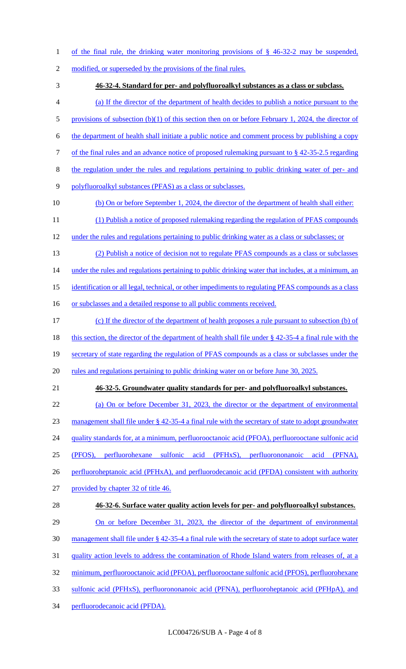- of the final rule, the drinking water monitoring provisions of § 46-32-2 may be suspended,
- 2 modified, or superseded by the provisions of the final rules.
- **46-32-4. Standard for per- and polyfluoroalkyl substances as a class or subclass.**
- (a) If the director of the department of health decides to publish a notice pursuant to the
- 5 provisions of subsection (b)(1) of this section then on or before February 1, 2024, the director of
- the department of health shall initiate a public notice and comment process by publishing a copy
- of the final rules and an advance notice of proposed rulemaking pursuant to § 42-35-2.5 regarding
- the regulation under the rules and regulations pertaining to public drinking water of per- and
- polyfluoroalkyl substances (PFAS) as a class or subclasses.
- 10 (b) On or before September 1, 2024, the director of the department of health shall either:
- (1) Publish a notice of proposed rulemaking regarding the regulation of PFAS compounds
- under the rules and regulations pertaining to public drinking water as a class or subclasses; or
- (2) Publish a notice of decision not to regulate PFAS compounds as a class or subclasses 14 under the rules and regulations pertaining to public drinking water that includes, at a minimum, an
- 15 identification or all legal, technical, or other impediments to regulating PFAS compounds as a class
- 16 or subclasses and a detailed response to all public comments received.
- (c) If the director of the department of health proposes a rule pursuant to subsection (b) of
- 18 this section, the director of the department of health shall file under § 42-35-4 a final rule with the
- secretary of state regarding the regulation of PFAS compounds as a class or subclasses under the
- 20 rules and regulations pertaining to public drinking water on or before June 30, 2025.
- 

### **46-32-5. Groundwater quality standards for per- and polyfluoroalkyl substances.**

- (a) On or before December 31, 2023, the director or the department of environmental management shall file under § 42-35-4 a final rule with the secretary of state to adopt groundwater 24 quality standards for, at a minimum, perfluorooctanoic acid (PFOA), perfluorooctane sulfonic acid (PFOS), perfluorohexane sulfonic acid (PFHxS), perfluorononanoic acid (PFNA), 26 perfluoroheptanoic acid (PFHxA), and perfluorodecanoic acid (PFDA) consistent with authority provided by chapter 32 of title 46. **46-32-6. Surface water quality action levels for per- and polyfluoroalkyl substances.**  29 On or before December 31, 2023, the director of the department of environmental management shall file under § 42-35-4 a final rule with the secretary of state to adopt surface water quality action levels to address the contamination of Rhode Island waters from releases of, at a
- minimum, perfluorooctanoic acid (PFOA), perfluorooctane sulfonic acid (PFOS), perfluorohexane
- sulfonic acid (PFHxS), perfluorononanoic acid (PFNA), perfluoroheptanoic acid (PFHpA), and
- perfluorodecanoic acid (PFDA).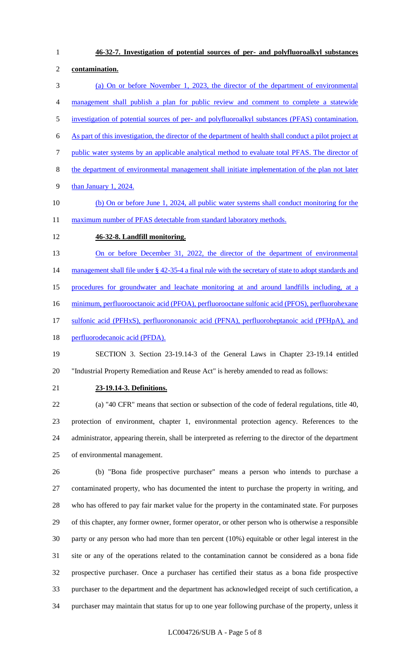**46-32-7. Investigation of potential sources of per- and polyfluoroalkyl substances contamination.**  (a) On or before November 1, 2023, the director of the department of environmental management shall publish a plan for public review and comment to complete a statewide investigation of potential sources of per- and polyfluoroalkyl substances (PFAS) contamination. As part of this investigation, the director of the department of health shall conduct a pilot project at public water systems by an applicable analytical method to evaluate total PFAS. The director of the department of environmental management shall initiate implementation of the plan not later than January 1, 2024. (b) On or before June 1, 2024, all public water systems shall conduct monitoring for the 11 maximum number of PFAS detectable from standard laboratory methods. **46-32-8. Landfill monitoring.**  13 On or before December 31, 2022, the director of the department of environmental 14 management shall file under § 42-35-4 a final rule with the secretary of state to adopt standards and procedures for groundwater and leachate monitoring at and around landfills including, at a minimum, perfluorooctanoic acid (PFOA), perfluorooctane sulfonic acid (PFOS), perfluorohexane

17 sulfonic acid (PFHxS), perfluorononanoic acid (PFNA), perfluoroheptanoic acid (PFHpA), and

18 perfluorodecanoic acid (PFDA).

 SECTION 3. Section 23-19.14-3 of the General Laws in Chapter 23-19.14 entitled "Industrial Property Remediation and Reuse Act" is hereby amended to read as follows:

### **23-19.14-3. Definitions.**

 (a) "40 CFR" means that section or subsection of the code of federal regulations, title 40, protection of environment, chapter 1, environmental protection agency. References to the administrator, appearing therein, shall be interpreted as referring to the director of the department of environmental management.

 (b) "Bona fide prospective purchaser" means a person who intends to purchase a contaminated property, who has documented the intent to purchase the property in writing, and who has offered to pay fair market value for the property in the contaminated state. For purposes of this chapter, any former owner, former operator, or other person who is otherwise a responsible party or any person who had more than ten percent (10%) equitable or other legal interest in the site or any of the operations related to the contamination cannot be considered as a bona fide prospective purchaser. Once a purchaser has certified their status as a bona fide prospective purchaser to the department and the department has acknowledged receipt of such certification, a purchaser may maintain that status for up to one year following purchase of the property, unless it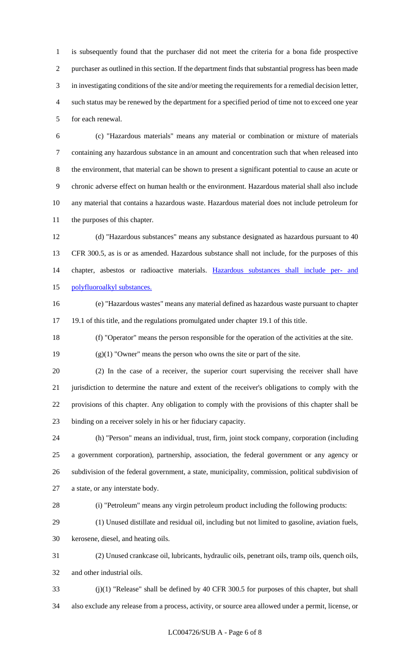is subsequently found that the purchaser did not meet the criteria for a bona fide prospective purchaser as outlined in this section. If the department finds that substantial progress has been made in investigating conditions of the site and/or meeting the requirements for a remedial decision letter, such status may be renewed by the department for a specified period of time not to exceed one year for each renewal.

 (c) "Hazardous materials" means any material or combination or mixture of materials containing any hazardous substance in an amount and concentration such that when released into the environment, that material can be shown to present a significant potential to cause an acute or chronic adverse effect on human health or the environment. Hazardous material shall also include any material that contains a hazardous waste. Hazardous material does not include petroleum for the purposes of this chapter.

 (d) "Hazardous substances" means any substance designated as hazardous pursuant to 40 CFR 300.5, as is or as amended. Hazardous substance shall not include, for the purposes of this chapter, asbestos or radioactive materials. Hazardous substances shall include per- and polyfluoroalkyl substances.

 (e) "Hazardous wastes" means any material defined as hazardous waste pursuant to chapter 19.1 of this title, and the regulations promulgated under chapter 19.1 of this title.

(f) "Operator" means the person responsible for the operation of the activities at the site.

(g)(1) "Owner" means the person who owns the site or part of the site.

 (2) In the case of a receiver, the superior court supervising the receiver shall have jurisdiction to determine the nature and extent of the receiver's obligations to comply with the provisions of this chapter. Any obligation to comply with the provisions of this chapter shall be binding on a receiver solely in his or her fiduciary capacity.

 (h) "Person" means an individual, trust, firm, joint stock company, corporation (including a government corporation), partnership, association, the federal government or any agency or subdivision of the federal government, a state, municipality, commission, political subdivision of a state, or any interstate body.

(i) "Petroleum" means any virgin petroleum product including the following products:

(1) Unused distillate and residual oil, including but not limited to gasoline, aviation fuels,

kerosene, diesel, and heating oils.

 (2) Unused crankcase oil, lubricants, hydraulic oils, penetrant oils, tramp oils, quench oils, and other industrial oils.

 (j)(1) "Release" shall be defined by 40 CFR 300.5 for purposes of this chapter, but shall also exclude any release from a process, activity, or source area allowed under a permit, license, or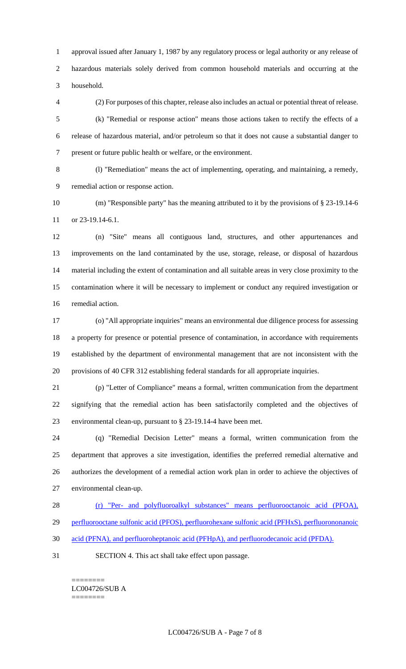approval issued after January 1, 1987 by any regulatory process or legal authority or any release of hazardous materials solely derived from common household materials and occurring at the household.

 (2) For purposes of this chapter, release also includes an actual or potential threat of release. (k) "Remedial or response action" means those actions taken to rectify the effects of a release of hazardous material, and/or petroleum so that it does not cause a substantial danger to present or future public health or welfare, or the environment.

 (l) "Remediation" means the act of implementing, operating, and maintaining, a remedy, remedial action or response action.

 (m) "Responsible party" has the meaning attributed to it by the provisions of § 23-19.14-6 or 23-19.14-6.1.

 (n) "Site" means all contiguous land, structures, and other appurtenances and improvements on the land contaminated by the use, storage, release, or disposal of hazardous material including the extent of contamination and all suitable areas in very close proximity to the contamination where it will be necessary to implement or conduct any required investigation or remedial action.

 (o) "All appropriate inquiries" means an environmental due diligence process for assessing a property for presence or potential presence of contamination, in accordance with requirements established by the department of environmental management that are not inconsistent with the provisions of 40 CFR 312 establishing federal standards for all appropriate inquiries.

 (p) "Letter of Compliance" means a formal, written communication from the department signifying that the remedial action has been satisfactorily completed and the objectives of environmental clean-up, pursuant to § 23-19.14-4 have been met.

 (q) "Remedial Decision Letter" means a formal, written communication from the department that approves a site investigation, identifies the preferred remedial alternative and authorizes the development of a remedial action work plan in order to achieve the objectives of environmental clean-up.

- (r) "Per- and polyfluoroalkyl substances" means perfluorooctanoic acid (PFOA),
- perfluorooctane sulfonic acid (PFOS), perfluorohexane sulfonic acid (PFHxS), perfluorononanoic
- acid (PFNA), and perfluoroheptanoic acid (PFHpA), and perfluorodecanoic acid (PFDA).
- SECTION 4. This act shall take effect upon passage.

======== LC004726/SUB A ========